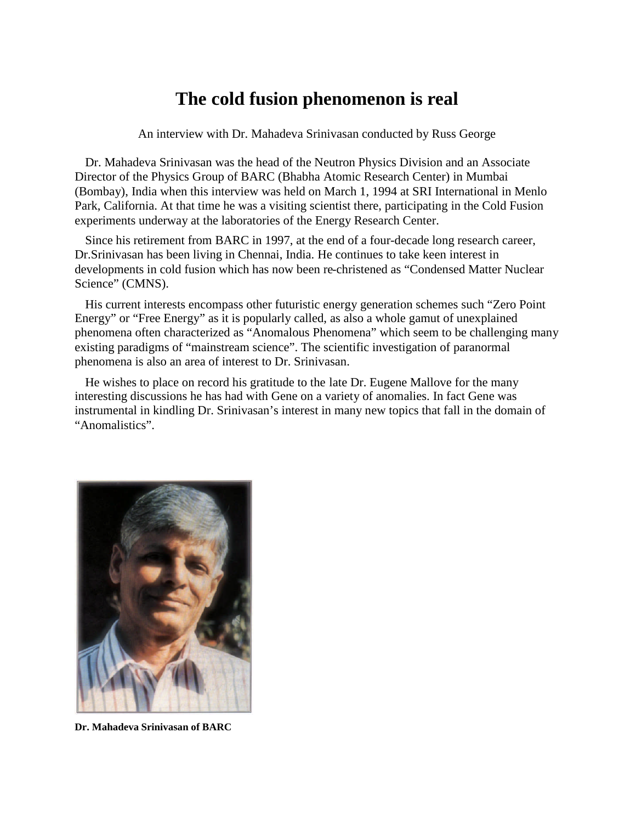## **The cold fusion phenomenon is real**

An interview with Dr. Mahadeva Srinivasan conducted by Russ George

Dr. Mahadeva Srinivasan was the head of the Neutron Physics Division and an Associate Director of the Physics Group of BARC (Bhabha Atomic Research Center) in Mumbai (Bombay), India when this interview was held on March 1, 1994 at SRI International in Menlo Park, California. At that time he was a visiting scientist there, participating in the Cold Fusion experiments underway at the laboratories of the Energy Research Center.

Since his retirement from BARC in 1997, at the end of a four-decade long research career, Dr.Srinivasan has been living in Chennai, India. He continues to take keen interest in developments in cold fusion which has now been re-christened as "Condensed Matter Nuclear Science" (CMNS).

His current interests encompass other futuristic energy generation schemes such "Zero Point Energy" or "Free Energy" as it is popularly called, as also a whole gamut of unexplained phenomena often characterized as "Anomalous Phenomena" which seem to be challenging many existing paradigms of "mainstream science". The scientific investigation of paranormal phenomena is also an area of interest to Dr. Srinivasan.

He wishes to place on record his gratitude to the late Dr. Eugene Mallove for the many interesting discussions he has had with Gene on a variety of anomalies. In fact Gene was instrumental in kindling Dr. Srinivasan's interest in many new topics that fall in the domain of "Anomalistics".



**Dr. Mahadeva Srinivasan of BARC**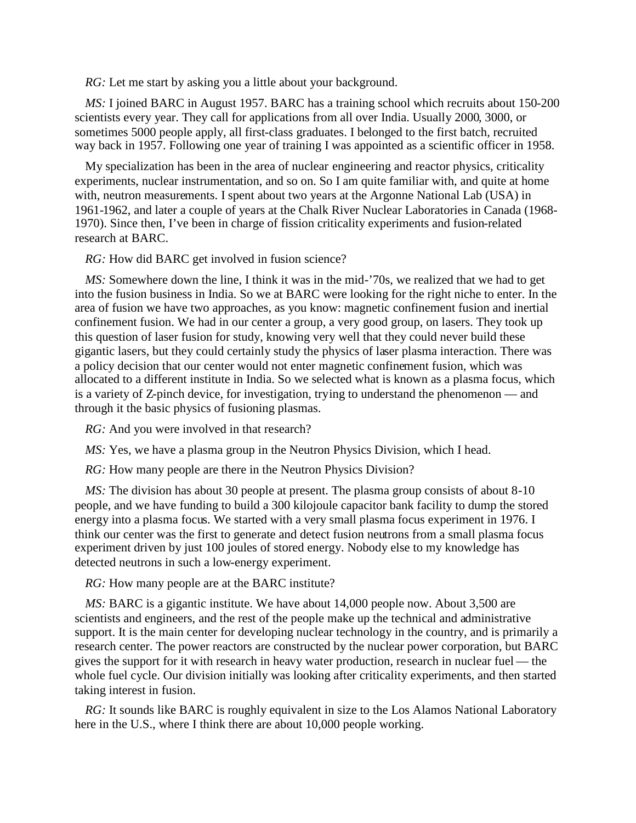*RG:* Let me start by asking you a little about your background.

*MS:* I joined BARC in August 1957. BARC has a training school which recruits about 150-200 scientists every year. They call for applications from all over India. Usually 2000, 3000, or sometimes 5000 people apply, all first-class graduates. I belonged to the first batch, recruited way back in 1957. Following one year of training I was appointed as a scientific officer in 1958.

My specialization has been in the area of nuclear engineering and reactor physics, criticality experiments, nuclear instrumentation, and so on. So I am quite familiar with, and quite at home with, neutron measurements. I spent about two years at the Argonne National Lab (USA) in 1961-1962, and later a couple of years at the Chalk River Nuclear Laboratories in Canada (1968- 1970). Since then, I've been in charge of fission criticality experiments and fusion-related research at BARC.

*RG:* How did BARC get involved in fusion science?

*MS*: Somewhere down the line, I think it was in the mid-'70s, we realized that we had to get into the fusion business in India. So we at BARC were looking for the right niche to enter. In the area of fusion we have two approaches, as you know: magnetic confinement fusion and inertial confinement fusion. We had in our center a group, a very good group, on lasers. They took up this question of laser fusion for study, knowing very well that they could never build these gigantic lasers, but they could certainly study the physics of laser plasma interaction. There was a policy decision that our center would not enter magnetic confinement fusion, which was allocated to a different institute in India. So we selected what is known as a plasma focus, which is a variety of Z-pinch device, for investigation, trying to understand the phenomenon — and through it the basic physics of fusioning plasmas.

*RG:* And you were involved in that research?

*MS*: Yes, we have a plasma group in the Neutron Physics Division, which I head.

*RG:* How many people are there in the Neutron Physics Division?

*MS*: The division has about 30 people at present. The plasma group consists of about 8-10 people, and we have funding to build a 300 kilojoule capacitor bank facility to dump the stored energy into a plasma focus. We started with a very small plasma focus experiment in 1976. I think our center was the first to generate and detect fusion neutrons from a small plasma focus experiment driven by just 100 joules of stored energy. Nobody else to my knowledge has detected neutrons in such a low-energy experiment.

*RG:* How many people are at the BARC institute?

*MS:* BARC is a gigantic institute. We have about 14,000 people now. About 3,500 are scientists and engineers, and the rest of the people make up the technical and administrative support. It is the main center for developing nuclear technology in the country, and is primarily a research center. The power reactors are constructed by the nuclear power corporation, but BARC gives the support for it with research in heavy water production, research in nuclear fuel — the whole fuel cycle. Our division initially was looking after criticality experiments, and then started taking interest in fusion.

*RG:* It sounds like BARC is roughly equivalent in size to the Los Alamos National Laboratory here in the U.S., where I think there are about 10,000 people working.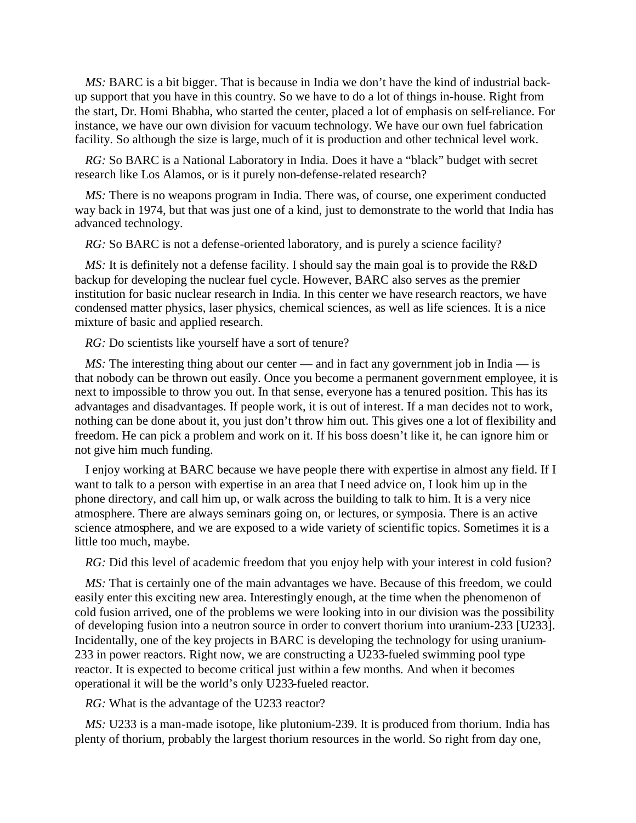*MS:* BARC is a bit bigger. That is because in India we don't have the kind of industrial backup support that you have in this country. So we have to do a lot of things in-house. Right from the start, Dr. Homi Bhabha, who started the center, placed a lot of emphasis on self-reliance. For instance, we have our own division for vacuum technology. We have our own fuel fabrication facility. So although the size is large, much of it is production and other technical level work.

*RG:* So BARC is a National Laboratory in India. Does it have a "black" budget with secret research like Los Alamos, or is it purely non-defense-related research?

*MS:* There is no weapons program in India. There was, of course, one experiment conducted way back in 1974, but that was just one of a kind, just to demonstrate to the world that India has advanced technology.

*RG:* So BARC is not a defense-oriented laboratory, and is purely a science facility?

*MS*: It is definitely not a defense facility. I should say the main goal is to provide the R&D backup for developing the nuclear fuel cycle. However, BARC also serves as the premier institution for basic nuclear research in India. In this center we have research reactors, we have condensed matter physics, laser physics, chemical sciences, as well as life sciences. It is a nice mixture of basic and applied research.

*RG:* Do scientists like yourself have a sort of tenure?

*MS*: The interesting thing about our center — and in fact any government job in India — is that nobody can be thrown out easily. Once you become a permanent government employee, it is next to impossible to throw you out. In that sense, everyone has a tenured position. This has its advantages and disadvantages. If people work, it is out of interest. If a man decides not to work, nothing can be done about it, you just don't throw him out. This gives one a lot of flexibility and freedom. He can pick a problem and work on it. If his boss doesn't like it, he can ignore him or not give him much funding.

I enjoy working at BARC because we have people there with expertise in almost any field. If I want to talk to a person with expertise in an area that I need advice on, I look him up in the phone directory, and call him up, or walk across the building to talk to him. It is a very nice atmosphere. There are always seminars going on, or lectures, or symposia. There is an active science atmosphere, and we are exposed to a wide variety of scientific topics. Sometimes it is a little too much, maybe.

*RG:* Did this level of academic freedom that you enjoy help with your interest in cold fusion?

*MS*: That is certainly one of the main advantages we have. Because of this freedom, we could easily enter this exciting new area. Interestingly enough, at the time when the phenomenon of cold fusion arrived, one of the problems we were looking into in our division was the possibility of developing fusion into a neutron source in order to convert thorium into uranium-233 [U233]. Incidentally, one of the key projects in BARC is developing the technology for using uranium-233 in power reactors. Right now, we are constructing a U233-fueled swimming pool type reactor. It is expected to become critical just within a few months. And when it becomes operational it will be the world's only U233-fueled reactor.

*RG:* What is the advantage of the U233 reactor?

*MS:* U233 is a man-made isotope, like plutonium-239. It is produced from thorium. India has plenty of thorium, probably the largest thorium resources in the world. So right from day one,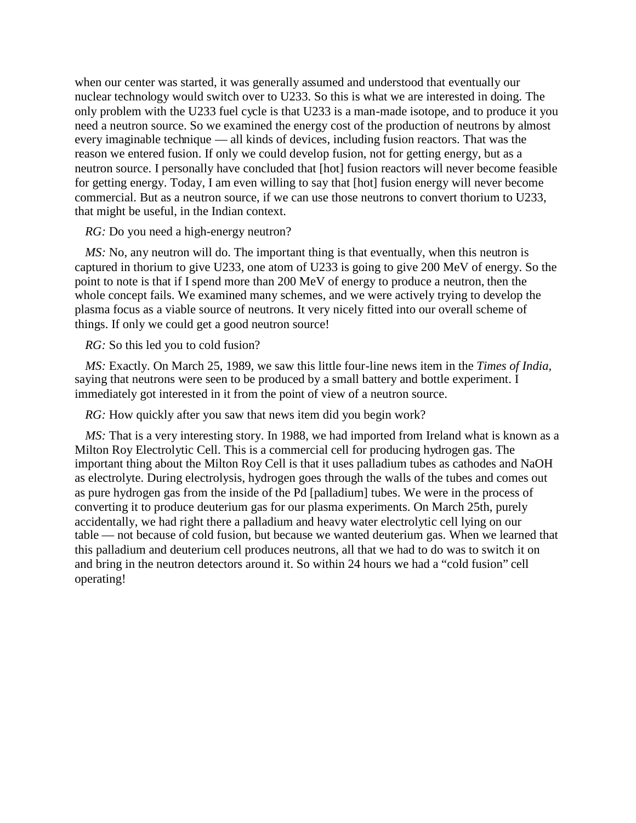when our center was started, it was generally assumed and understood that eventually our nuclear technology would switch over to U233. So this is what we are interested in doing. The only problem with the U233 fuel cycle is that U233 is a man-made isotope, and to produce it you need a neutron source. So we examined the energy cost of the production of neutrons by almost every imaginable technique — all kinds of devices, including fusion reactors. That was the reason we entered fusion. If only we could develop fusion, not for getting energy, but as a neutron source. I personally have concluded that [hot] fusion reactors will never become feasible for getting energy. Today, I am even willing to say that [hot] fusion energy will never become commercial. But as a neutron source, if we can use those neutrons to convert thorium to U233, that might be useful, in the Indian context.

*RG:* Do you need a high-energy neutron?

*MS:* No, any neutron will do. The important thing is that eventually, when this neutron is captured in thorium to give U233, one atom of U233 is going to give 200 MeV of energy. So the point to note is that if I spend more than 200 MeV of energy to produce a neutron, then the whole concept fails. We examined many schemes, and we were actively trying to develop the plasma focus as a viable source of neutrons. It very nicely fitted into our overall scheme of things. If only we could get a good neutron source!

*RG:* So this led you to cold fusion?

*MS:* Exactly. On March 25, 1989, we saw this little four-line news item in the *Times of India,* saying that neutrons were seen to be produced by a small battery and bottle experiment. I immediately got interested in it from the point of view of a neutron source.

*RG:* How quickly after you saw that news item did you begin work?

*MS:* That is a very interesting story. In 1988, we had imported from Ireland what is known as a Milton Roy Electrolytic Cell. This is a commercial cell for producing hydrogen gas. The important thing about the Milton Roy Cell is that it uses palladium tubes as cathodes and NaOH as electrolyte. During electrolysis, hydrogen goes through the walls of the tubes and comes out as pure hydrogen gas from the inside of the Pd [palladium] tubes. We were in the process of converting it to produce deuterium gas for our plasma experiments. On March 25th, purely accidentally, we had right there a palladium and heavy water electrolytic cell lying on our table — not because of cold fusion, but because we wanted deuterium gas. When we learned that this palladium and deuterium cell produces neutrons, all that we had to do was to switch it on and bring in the neutron detectors around it. So within 24 hours we had a "cold fusion" cell operating!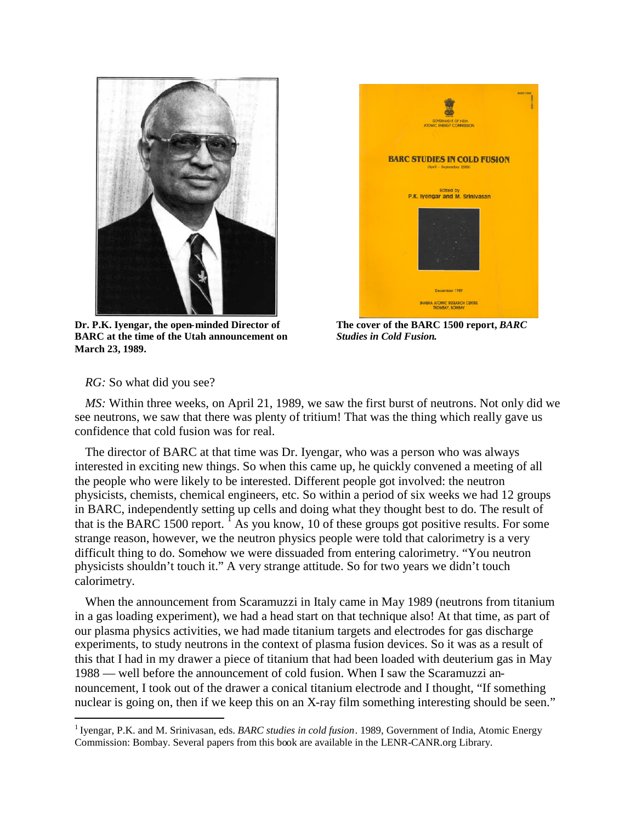

**Dr. P.K. Iyengar, the open-minded Director of BARC at the time of the Utah announcement on March 23, 1989.**



**The cover of the BARC 1500 report,** *BARC Studies in Cold Fusion***.**

*RG:* So what did you see?

*MS:* Within three weeks, on April 21, 1989, we saw the first burst of neutrons. Not only did we see neutrons, we saw that there was plenty of tritium! That was the thing which really gave us confidence that cold fusion was for real.

The director of BARC at that time was Dr. Iyengar, who was a person who was always interested in exciting new things. So when this came up, he quickly convened a meeting of all the people who were likely to be interested. Different people got involved: the neutron physicists, chemists, chemical engineers, etc. So within a period of six weeks we had 12 groups in BARC, independently setting up cells and doing what they thought best to do. The result of that is the BARC [1](#page-4-0)500 report.  ${}^{1}$  As you know, 10 of these groups got positive results. For some strange reason, however, we the neutron physics people were told that calorimetry is a very difficult thing to do. Somehow we were dissuaded from entering calorimetry. "You neutron physicists shouldn't touch it." A very strange attitude. So for two years we didn't touch calorimetry.

When the announcement from Scaramuzzi in Italy came in May 1989 (neutrons from titanium in a gas loading experiment), we had a head start on that technique also! At that time, as part of our plasma physics activities, we had made titanium targets and electrodes for gas discharge experiments, to study neutrons in the context of plasma fusion devices. So it was as a result of this that I had in my drawer a piece of titanium that had been loaded with deuterium gas in May 1988 — well before the announcement of cold fusion. When I saw the Scaramuzzi announcement, I took out of the drawer a conical titanium electrode and I thought, "If something nuclear is going on, then if we keep this on an X-ray film something interesting should be seen."

<span id="page-4-0"></span><sup>&</sup>lt;sup>1</sup> Iyengar, P.K. and M. Srinivasan, eds. *BARC studies in cold fusion*. 1989, Government of India, Atomic Energy Commission: Bombay. Several papers from this book are available in the LENR-CANR.org Library.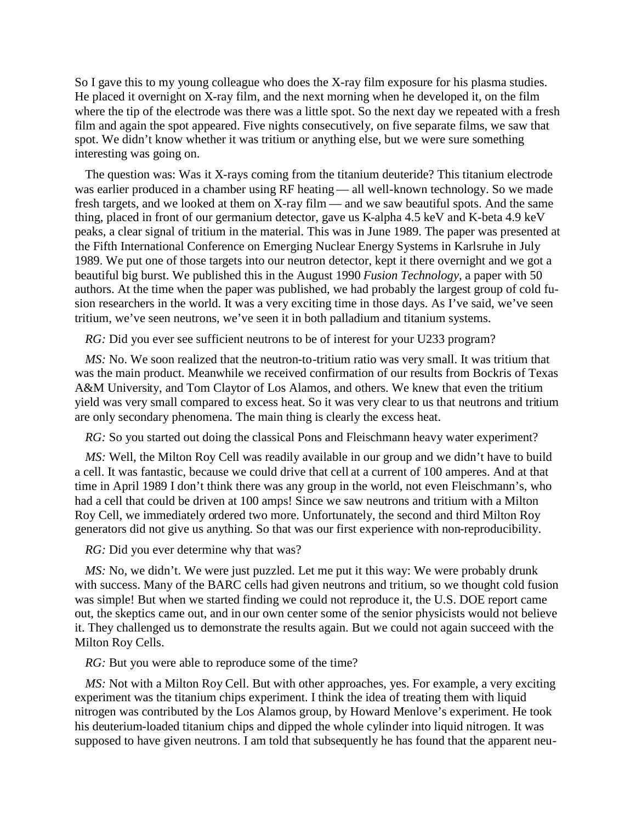So I gave this to my young colleague who does the X-ray film exposure for his plasma studies. He placed it overnight on X-ray film, and the next morning when he developed it, on the film where the tip of the electrode was there was a little spot. So the next day we repeated with a fresh film and again the spot appeared. Five nights consecutively, on five separate films, we saw that spot. We didn't know whether it was tritium or anything else, but we were sure something interesting was going on.

The question was: Was it X-rays coming from the titanium deuteride? This titanium electrode was earlier produced in a chamber using RF heating — all well-known technology. So we made fresh targets, and we looked at them on X-ray film — and we saw beautiful spots. And the same thing, placed in front of our germanium detector, gave us K-alpha 4.5 keV and K-beta 4.9 keV peaks, a clear signal of tritium in the material. This was in June 1989. The paper was presented at the Fifth International Conference on Emerging Nuclear Energy Systems in Karlsruhe in July 1989. We put one of those targets into our neutron detector, kept it there overnight and we got a beautiful big burst. We published this in the August 1990 *Fusion Technology,* a paper with 50 authors. At the time when the paper was published, we had probably the largest group of cold fusion researchers in the world. It was a very exciting time in those days. As I've said, we've seen tritium, we've seen neutrons, we've seen it in both palladium and titanium systems.

*RG:* Did you ever see sufficient neutrons to be of interest for your U233 program?

*MS:* No. We soon realized that the neutron-to-tritium ratio was very small. It was tritium that was the main product. Meanwhile we received confirmation of our results from Bockris of Texas A&M University, and Tom Claytor of Los Alamos, and others. We knew that even the tritium yield was very small compared to excess heat. So it was very clear to us that neutrons and tritium are only secondary phenomena. The main thing is clearly the excess heat.

*RG*: So you started out doing the classical Pons and Fleischmann heavy water experiment?

*MS:* Well, the Milton Roy Cell was readily available in our group and we didn't have to build a cell. It was fantastic, because we could drive that cell at a current of 100 amperes. And at that time in April 1989 I don't think there was any group in the world, not even Fleischmann's, who had a cell that could be driven at 100 amps! Since we saw neutrons and tritium with a Milton Roy Cell, we immediately ordered two more. Unfortunately, the second and third Milton Roy generators did not give us anything. So that was our first experience with non-reproducibility.

*RG:* Did you ever determine why that was?

*MS*: No, we didn't. We were just puzzled. Let me put it this way: We were probably drunk with success. Many of the BARC cells had given neutrons and tritium, so we thought cold fusion was simple! But when we started finding we could not reproduce it, the U.S. DOE report came out, the skeptics came out, and in our own center some of the senior physicists would not believe it. They challenged us to demonstrate the results again. But we could not again succeed with the Milton Roy Cells.

*RG:* But you were able to reproduce some of the time?

*MS*: Not with a Milton Roy Cell. But with other approaches, yes. For example, a very exciting experiment was the titanium chips experiment. I think the idea of treating them with liquid nitrogen was contributed by the Los Alamos group, by Howard Menlove's experiment. He took his deuterium-loaded titanium chips and dipped the whole cylinder into liquid nitrogen. It was supposed to have given neutrons. I am told that subsequently he has found that the apparent neu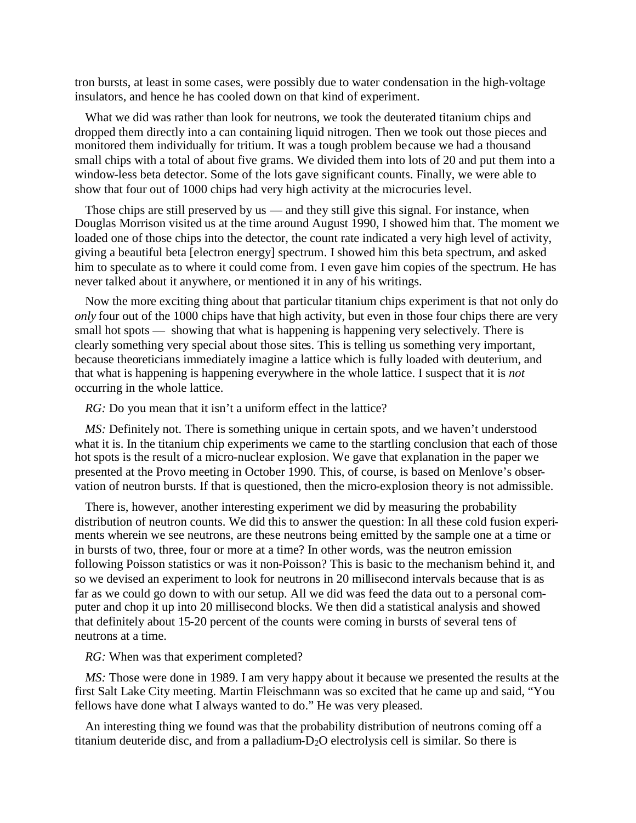tron bursts, at least in some cases, were possibly due to water condensation in the high-voltage insulators, and hence he has cooled down on that kind of experiment.

What we did was rather than look for neutrons, we took the deuterated titanium chips and dropped them directly into a can containing liquid nitrogen. Then we took out those pieces and monitored them individually for tritium. It was a tough problem because we had a thousand small chips with a total of about five grams. We divided them into lots of 20 and put them into a window-less beta detector. Some of the lots gave significant counts. Finally, we were able to show that four out of 1000 chips had very high activity at the microcuries level.

Those chips are still preserved by us — and they still give this signal. For instance, when Douglas Morrison visited us at the time around August 1990, I showed him that. The moment we loaded one of those chips into the detector, the count rate indicated a very high level of activity, giving a beautiful beta [electron energy] spectrum. I showed him this beta spectrum, and asked him to speculate as to where it could come from. I even gave him copies of the spectrum. He has never talked about it anywhere, or mentioned it in any of his writings.

Now the more exciting thing about that particular titanium chips experiment is that not only do *only* four out of the 1000 chips have that high activity, but even in those four chips there are very small hot spots — showing that what is happening is happening very selectively. There is clearly something very special about those sites. This is telling us something very important, because theoreticians immediately imagine a lattice which is fully loaded with deuterium, and that what is happening is happening everywhere in the whole lattice. I suspect that it is *not* occurring in the whole lattice.

*RG:* Do you mean that it isn't a uniform effect in the lattice?

*MS*: Definitely not. There is something unique in certain spots, and we haven't understood what it is. In the titanium chip experiments we came to the startling conclusion that each of those hot spots is the result of a micro-nuclear explosion. We gave that explanation in the paper we presented at the Provo meeting in October 1990. This, of course, is based on Menlove's observation of neutron bursts. If that is questioned, then the micro-explosion theory is not admissible.

There is, however, another interesting experiment we did by measuring the probability distribution of neutron counts. We did this to answer the question: In all these cold fusion experiments wherein we see neutrons, are these neutrons being emitted by the sample one at a time or in bursts of two, three, four or more at a time? In other words, was the neutron emission following Poisson statistics or was it non-Poisson? This is basic to the mechanism behind it, and so we devised an experiment to look for neutrons in 20 millisecond intervals because that is as far as we could go down to with our setup. All we did was feed the data out to a personal computer and chop it up into 20 millisecond blocks. We then did a statistical analysis and showed that definitely about 15-20 percent of the counts were coming in bursts of several tens of neutrons at a time.

*RG:* When was that experiment completed?

*MS:* Those were done in 1989. I am very happy about it because we presented the results at the first Salt Lake City meeting. Martin Fleischmann was so excited that he came up and said, "You fellows have done what I always wanted to do." He was very pleased.

An interesting thing we found was that the probability distribution of neutrons coming off a titanium deuteride disc, and from a palladium- $D_2O$  electrolysis cell is similar. So there is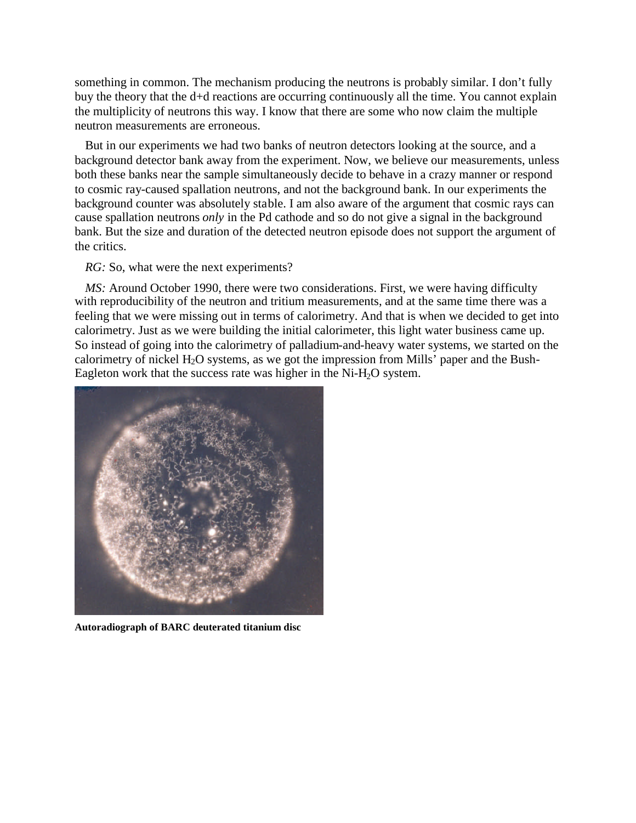something in common. The mechanism producing the neutrons is probably similar. I don't fully buy the theory that the d+d reactions are occurring continuously all the time. You cannot explain the multiplicity of neutrons this way. I know that there are some who now claim the multiple neutron measurements are erroneous.

But in our experiments we had two banks of neutron detectors looking at the source, and a background detector bank away from the experiment. Now, we believe our measurements, unless both these banks near the sample simultaneously decide to behave in a crazy manner or respond to cosmic ray-caused spallation neutrons, and not the background bank. In our experiments the background counter was absolutely stable. I am also aware of the argument that cosmic rays can cause spallation neutrons *only* in the Pd cathode and so do not give a signal in the background bank. But the size and duration of the detected neutron episode does not support the argument of the critics.

*RG*: So, what were the next experiments?

*MS:* Around October 1990, there were two considerations. First, we were having difficulty with reproducibility of the neutron and tritium measurements, and at the same time there was a feeling that we were missing out in terms of calorimetry. And that is when we decided to get into calorimetry. Just as we were building the initial calorimeter, this light water business came up. So instead of going into the calorimetry of palladium-and-heavy water systems, we started on the calorimetry of nickel  $H_2O$  systems, as we got the impression from Mills' paper and the Bush-Eagleton work that the success rate was higher in the  $Ni-H<sub>2</sub>O$  system.



**Autoradiograph of BARC deuterated titanium disc**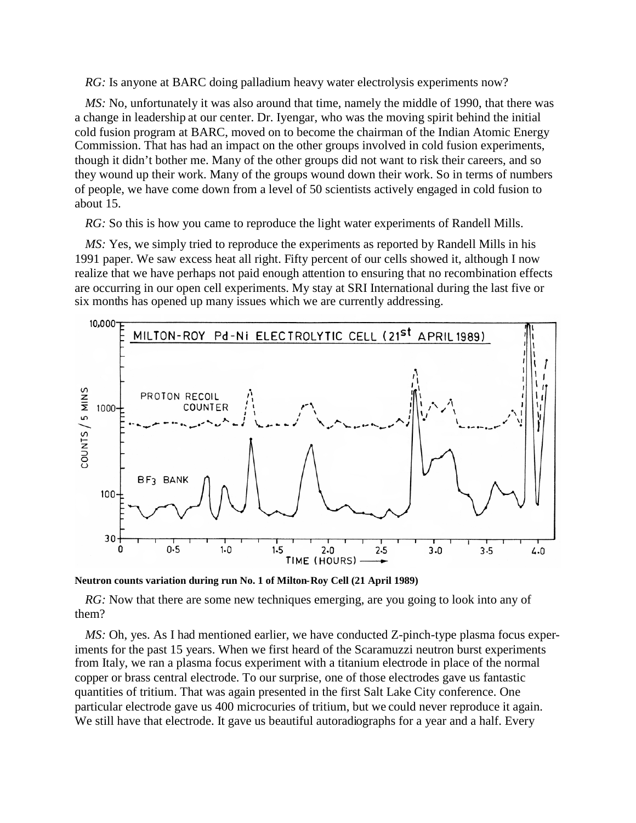*RG:* Is anyone at BARC doing palladium heavy water electrolysis experiments now?

*MS:* No, unfortunately it was also around that time, namely the middle of 1990, that there was a change in leadership at our center. Dr. Iyengar, who was the moving spirit behind the initial cold fusion program at BARC, moved on to become the chairman of the Indian Atomic Energy Commission. That has had an impact on the other groups involved in cold fusion experiments, though it didn't bother me. Many of the other groups did not want to risk their careers, and so they wound up their work. Many of the groups wound down their work. So in terms of numbers of people, we have come down from a level of 50 scientists actively engaged in cold fusion to about 15.

*RG*: So this is how you came to reproduce the light water experiments of Randell Mills.

*MS:* Yes, we simply tried to reproduce the experiments as reported by Randell Mills in his 1991 paper. We saw excess heat all right. Fifty percent of our cells showed it, although I now realize that we have perhaps not paid enough attention to ensuring that no recombination effects are occurring in our open cell experiments. My stay at SRI International during the last five or six months has opened up many issues which we are currently addressing.



**Neutron counts variation during run No. 1 of Milton-Roy Cell (21 April 1989)**

*RG*: Now that there are some new techniques emerging, are you going to look into any of them?

*MS*: Oh, yes. As I had mentioned earlier, we have conducted Z-pinch-type plasma focus experiments for the past 15 years. When we first heard of the Scaramuzzi neutron burst experiments from Italy, we ran a plasma focus experiment with a titanium electrode in place of the normal copper or brass central electrode. To our surprise, one of those electrodes gave us fantastic quantities of tritium. That was again presented in the first Salt Lake City conference. One particular electrode gave us 400 microcuries of tritium, but we could never reproduce it again. We still have that electrode. It gave us beautiful autoradiographs for a year and a half. Every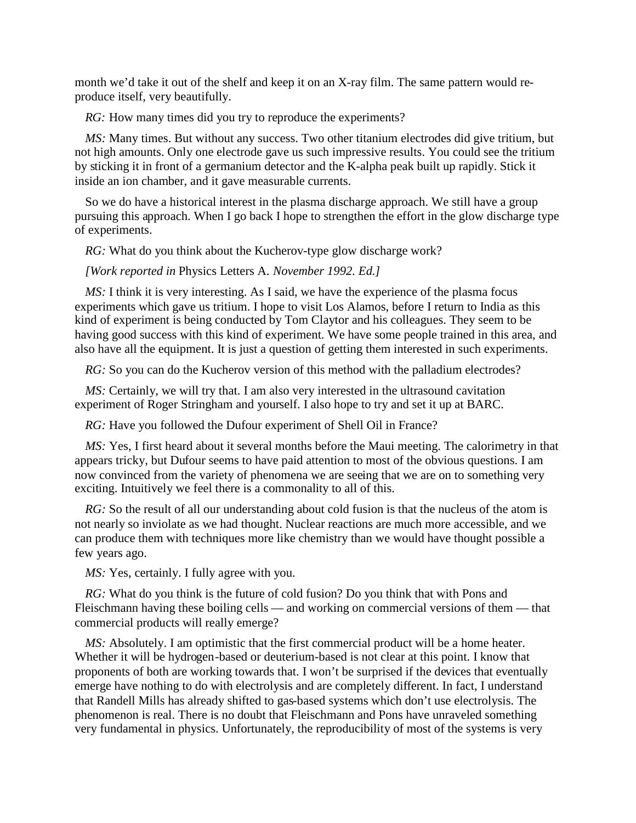month we'd take it out of the shelf and keep it on an X-ray film. The same pattern would reproduce itself, very beautifully.

*RG*: How many times did you try to reproduce the experiments?

*MS*: Many times. But without any success. Two other titanium electrodes did give tritium, but not high amounts. Only one electrode gave us such impressive results. You could see the tritium by sticking it in front of a germanium detector and the K-alpha peak built up rapidly. Stick it inside an ion chamber, and it gave measurable currents.

So we do have a historical interest in the plasma discharge approach. We still have a group pursuing this approach. When I go back I hope to strengthen the effort in the glow discharge type of experiments.

*RG:* What do you think about the Kucherov-type glow discharge work?

*[Work reported in* Physics Letters A. *November 1992. Ed.]*

*MS*: I think it is very interesting. As I said, we have the experience of the plasma focus experiments which gave us tritium. I hope to visit Los Alamos, before I return to India as this kind of experiment is being conducted by Tom Claytor and his colleagues. They seem to be having good success with this kind of experiment. We have some people trained in this area, and also have all the equipment. It is just a question of getting them interested in such experiments.

*RG:* So you can do the Kucherov version of this method with the palladium electrodes?

*MS:* Certainly, we will try that. I am also very interested in the ultrasound cavitation experiment of Roger Stringham and yourself. I also hope to try and set it up at BARC.

*RG:* Have you followed the Dufour experiment of Shell Oil in France?

*MS:* Yes, I first heard about it several months before the Maui meeting. The calorimetry in that appears tricky, but Dufour seems to have paid attention to most of the obvious questions. I am now convinced from the variety of phenomena we are seeing that we are on to something very exciting. Intuitively we feel there is a commonality to all of this.

*RG*: So the result of all our understanding about cold fusion is that the nucleus of the atom is not nearly so inviolate as we had thought. Nuclear reactions are much more accessible, and we can produce them with techniques more like chemistry than we would have thought possible a few years ago.

*MS:* Yes, certainly. I fully agree with you.

*RG:* What do you think is the future of cold fusion? Do you think that with Pons and Fleischmann having these boiling cells — and working on commercial versions of them — that commercial products will really emerge?

*MS*: Absolutely. I am optimistic that the first commercial product will be a home heater. Whether it will be hydrogen-based or deuterium-based is not clear at this point. I know that proponents of both are working towards that. I won't be surprised if the devices that eventually emerge have nothing to do with electrolysis and are completely different. In fact, I understand that Randell Mills has already shifted to gas-based systems which don't use electrolysis. The phenomenon is real. There is no doubt that Fleischmann and Pons have unraveled something very fundamental in physics. Unfortunately, the reproducibility of most of the systems is very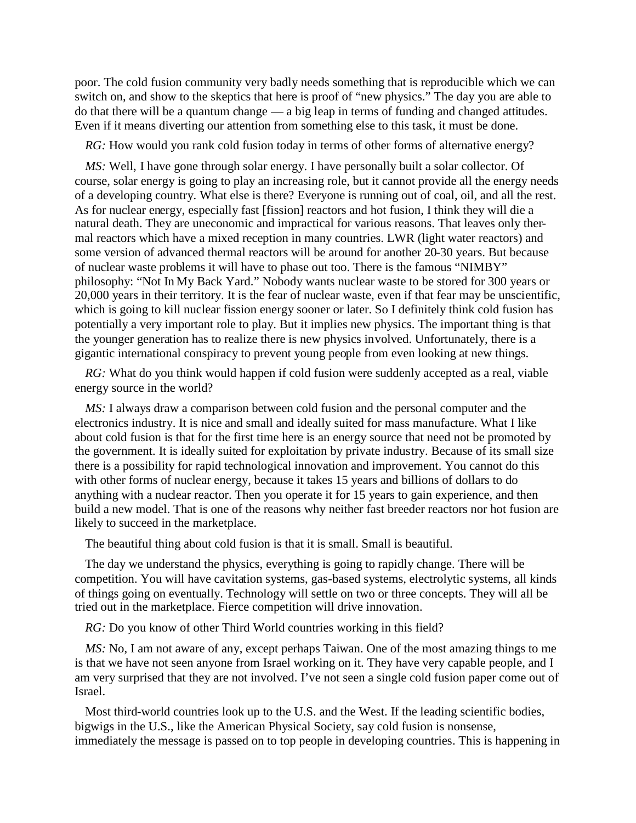poor. The cold fusion community very badly needs something that is reproducible which we can switch on, and show to the skeptics that here is proof of "new physics." The day you are able to do that there will be a quantum change — a big leap in terms of funding and changed attitudes. Even if it means diverting our attention from something else to this task, it must be done.

*RG:* How would you rank cold fusion today in terms of other forms of alternative energy?

*MS:* Well, I have gone through solar energy. I have personally built a solar collector. Of course, solar energy is going to play an increasing role, but it cannot provide all the energy needs of a developing country. What else is there? Everyone is running out of coal, oil, and all the rest. As for nuclear energy, especially fast [fission] reactors and hot fusion, I think they will die a natural death. They are uneconomic and impractical for various reasons. That leaves only thermal reactors which have a mixed reception in many countries. LWR (light water reactors) and some version of advanced thermal reactors will be around for another 20-30 years. But because of nuclear waste problems it will have to phase out too. There is the famous "NIMBY" philosophy: "Not In My Back Yard." Nobody wants nuclear waste to be stored for 300 years or 20,000 years in their territory. It is the fear of nuclear waste, even if that fear may be unscientific, which is going to kill nuclear fission energy sooner or later. So I definitely think cold fusion has potentially a very important role to play. But it implies new physics. The important thing is that the younger generation has to realize there is new physics involved. Unfortunately, there is a gigantic international conspiracy to prevent young people from even looking at new things.

*RG:* What do you think would happen if cold fusion were suddenly accepted as a real, viable energy source in the world?

*MS:* I always draw a comparison between cold fusion and the personal computer and the electronics industry. It is nice and small and ideally suited for mass manufacture. What I like about cold fusion is that for the first time here is an energy source that need not be promoted by the government. It is ideally suited for exploitation by private industry. Because of its small size there is a possibility for rapid technological innovation and improvement. You cannot do this with other forms of nuclear energy, because it takes 15 years and billions of dollars to do anything with a nuclear reactor. Then you operate it for 15 years to gain experience, and then build a new model. That is one of the reasons why neither fast breeder reactors nor hot fusion are likely to succeed in the marketplace.

The beautiful thing about cold fusion is that it is small. Small is beautiful.

The day we understand the physics, everything is going to rapidly change. There will be competition. You will have cavitation systems, gas-based systems, electrolytic systems, all kinds of things going on eventually. Technology will settle on two or three concepts. They will all be tried out in the marketplace. Fierce competition will drive innovation.

*RG:* Do you know of other Third World countries working in this field?

*MS:* No, I am not aware of any, except perhaps Taiwan. One of the most amazing things to me is that we have not seen anyone from Israel working on it. They have very capable people, and I am very surprised that they are not involved. I've not seen a single cold fusion paper come out of Israel.

Most third-world countries look up to the U.S. and the West. If the leading scientific bodies, bigwigs in the U.S., like the American Physical Society, say cold fusion is nonsense, immediately the message is passed on to top people in developing countries. This is happening in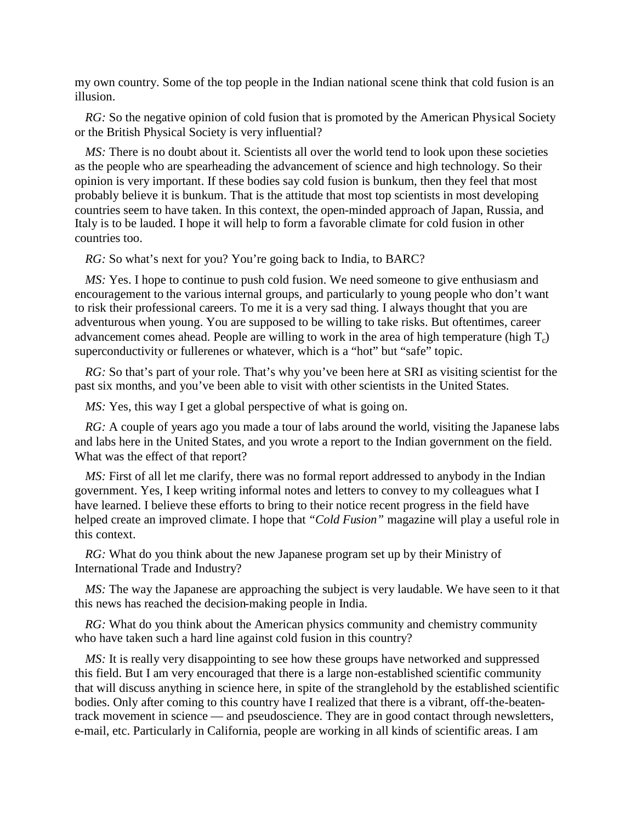my own country. Some of the top people in the Indian national scene think that cold fusion is an illusion.

*RG*: So the negative opinion of cold fusion that is promoted by the American Physical Society or the British Physical Society is very influential?

*MS*: There is no doubt about it. Scientists all over the world tend to look upon these societies as the people who are spearheading the advancement of science and high technology. So their opinion is very important. If these bodies say cold fusion is bunkum, then they feel that most probably believe it is bunkum. That is the attitude that most top scientists in most developing countries seem to have taken. In this context, the open-minded approach of Japan, Russia, and Italy is to be lauded. I hope it will help to form a favorable climate for cold fusion in other countries too.

*RG:* So what's next for you? You're going back to India, to BARC?

*MS:* Yes. I hope to continue to push cold fusion. We need someone to give enthusiasm and encouragement to the various internal groups, and particularly to young people who don't want to risk their professional careers. To me it is a very sad thing. I always thought that you are adventurous when young. You are supposed to be willing to take risks. But oftentimes, career advancement comes ahead. People are willing to work in the area of high temperature (high  $T_c$ ) superconductivity or fullerenes or whatever, which is a "hot" but "safe" topic.

*RG*: So that's part of your role. That's why you've been here at SRI as visiting scientist for the past six months, and you've been able to visit with other scientists in the United States.

*MS*: Yes, this way I get a global perspective of what is going on.

*RG:* A couple of years ago you made a tour of labs around the world, visiting the Japanese labs and labs here in the United States, and you wrote a report to the Indian government on the field. What was the effect of that report?

*MS:* First of all let me clarify, there was no formal report addressed to anybody in the Indian government. Yes, I keep writing informal notes and letters to convey to my colleagues what I have learned. I believe these efforts to bring to their notice recent progress in the field have helped create an improved climate. I hope that *"Cold Fusion"* magazine will play a useful role in this context.

*RG:* What do you think about the new Japanese program set up by their Ministry of International Trade and Industry?

*MS:* The way the Japanese are approaching the subject is very laudable. We have seen to it that this news has reached the decision-making people in India.

*RG:* What do you think about the American physics community and chemistry community who have taken such a hard line against cold fusion in this country?

*MS*: It is really very disappointing to see how these groups have networked and suppressed this field. But I am very encouraged that there is a large non-established scientific community that will discuss anything in science here, in spite of the stranglehold by the established scientific bodies. Only after coming to this country have I realized that there is a vibrant, off-the-beatentrack movement in science — and pseudoscience. They are in good contact through newsletters, e-mail, etc. Particularly in California, people are working in all kinds of scientific areas. I am